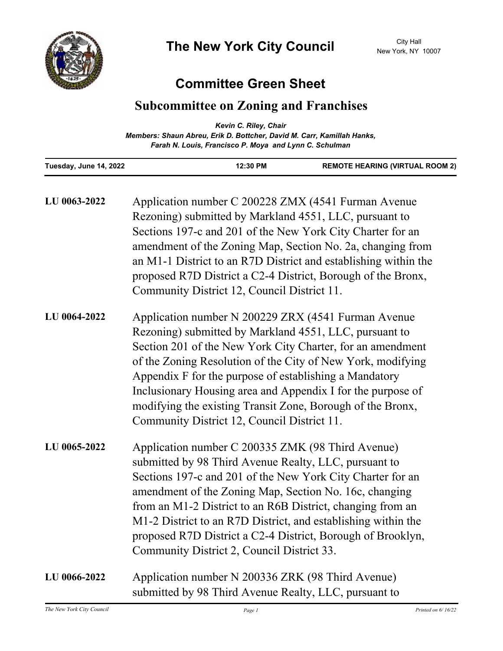

# **Committee Green Sheet**

## **Subcommittee on Zoning and Franchises**

|                        | Kevin C. Riley, Chair                                                  |                                        |
|------------------------|------------------------------------------------------------------------|----------------------------------------|
|                        | Members: Shaun Abreu, Erik D. Bottcher, David M. Carr, Kamillah Hanks, |                                        |
|                        | Farah N. Louis, Francisco P. Moya and Lynn C. Schulman                 |                                        |
| Tuesday, June 14, 2022 | 12:30 PM                                                               | <b>REMOTE HEARING (VIRTUAL ROOM 2)</b> |

| LU 0063-2022 | Application number C 200228 ZMX (4541 Furman Avenue<br>Rezoning) submitted by Markland 4551, LLC, pursuant to<br>Sections 197-c and 201 of the New York City Charter for an<br>amendment of the Zoning Map, Section No. 2a, changing from<br>an M1-1 District to an R7D District and establishing within the<br>proposed R7D District a C2-4 District, Borough of the Bronx,<br>Community District 12, Council District 11.                                                      |
|--------------|----------------------------------------------------------------------------------------------------------------------------------------------------------------------------------------------------------------------------------------------------------------------------------------------------------------------------------------------------------------------------------------------------------------------------------------------------------------------------------|
| LU 0064-2022 | Application number N 200229 ZRX (4541 Furman Avenue<br>Rezoning) submitted by Markland 4551, LLC, pursuant to<br>Section 201 of the New York City Charter, for an amendment<br>of the Zoning Resolution of the City of New York, modifying<br>Appendix F for the purpose of establishing a Mandatory<br>Inclusionary Housing area and Appendix I for the purpose of<br>modifying the existing Transit Zone, Borough of the Bronx,<br>Community District 12, Council District 11. |
| LU 0065-2022 | Application number C 200335 ZMK (98 Third Avenue)<br>submitted by 98 Third Avenue Realty, LLC, pursuant to<br>Sections 197-c and 201 of the New York City Charter for an<br>amendment of the Zoning Map, Section No. 16c, changing<br>from an M1-2 District to an R6B District, changing from an<br>M1-2 District to an R7D District, and establishing within the<br>proposed R7D District a C2-4 District, Borough of Brooklyn,<br>Community District 2, Council District 33.   |
| LU 0066-2022 | Application number N 200336 ZRK (98 Third Avenue)<br>submitted by 98 Third Avenue Realty, LLC, pursuant to                                                                                                                                                                                                                                                                                                                                                                       |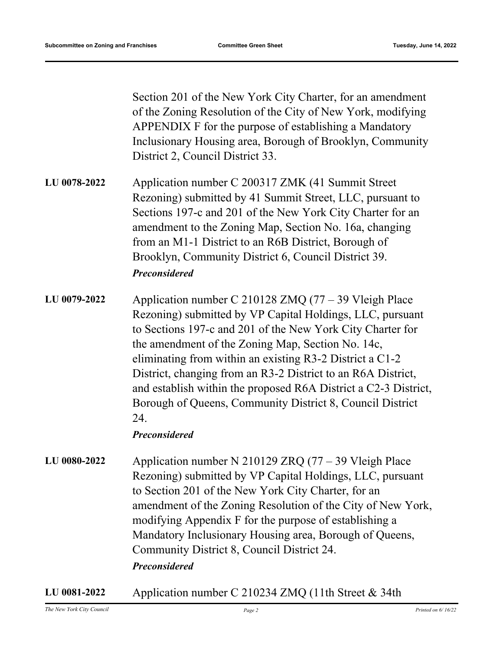Section 201 of the New York City Charter, for an amendment of the Zoning Resolution of the City of New York, modifying APPENDIX F for the purpose of establishing a Mandatory Inclusionary Housing area, Borough of Brooklyn, Community District 2, Council District 33.

Application number C 200317 ZMK (41 Summit Street Rezoning) submitted by 41 Summit Street, LLC, pursuant to Sections 197-c and 201 of the New York City Charter for an amendment to the Zoning Map, Section No. 16a, changing from an M1-1 District to an R6B District, Borough of Brooklyn, Community District 6, Council District 39. **LU 0078-2022** *Preconsidered*

Application number C 210128 ZMQ (77 – 39 Vleigh Place Rezoning) submitted by VP Capital Holdings, LLC, pursuant to Sections 197-c and 201 of the New York City Charter for the amendment of the Zoning Map, Section No. 14c, eliminating from within an existing R3-2 District a C1-2 District, changing from an R3-2 District to an R6A District, and establish within the proposed R6A District a C2-3 District, Borough of Queens, Community District 8, Council District 24. **LU 0079-2022**

#### *Preconsidered*

- Application number N 210129 ZRQ (77 39 Vleigh Place Rezoning) submitted by VP Capital Holdings, LLC, pursuant to Section 201 of the New York City Charter, for an amendment of the Zoning Resolution of the City of New York, modifying Appendix F for the purpose of establishing a Mandatory Inclusionary Housing area, Borough of Queens, Community District 8, Council District 24. **LU 0080-2022** *Preconsidered*
- **LU 0081-2022** Application number C 210234 ZMQ (11th Street & 34th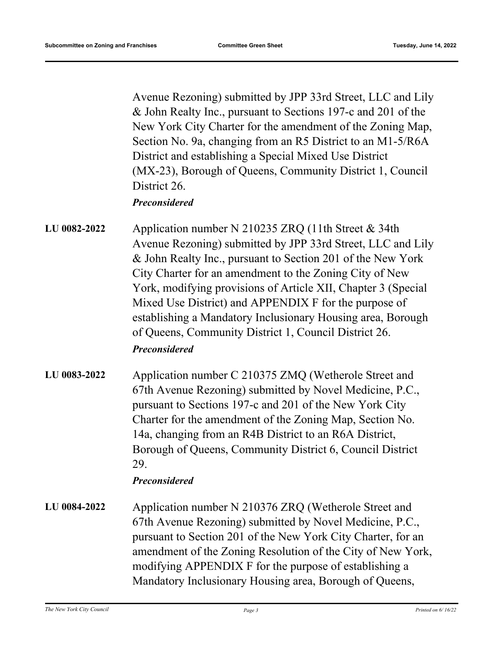Avenue Rezoning) submitted by JPP 33rd Street, LLC and Lily & John Realty Inc., pursuant to Sections 197-c and 201 of the New York City Charter for the amendment of the Zoning Map, Section No. 9a, changing from an R5 District to an M1-5/R6A District and establishing a Special Mixed Use District (MX-23), Borough of Queens, Community District 1, Council District 26.

## *Preconsidered*

- Application number N 210235 ZRQ (11th Street & 34th Avenue Rezoning) submitted by JPP 33rd Street, LLC and Lily & John Realty Inc., pursuant to Section 201 of the New York City Charter for an amendment to the Zoning City of New York, modifying provisions of Article XII, Chapter 3 (Special Mixed Use District) and APPENDIX F for the purpose of establishing a Mandatory Inclusionary Housing area, Borough of Queens, Community District 1, Council District 26. **LU 0082-2022** *Preconsidered*
- Application number C 210375 ZMQ (Wetherole Street and 67th Avenue Rezoning) submitted by Novel Medicine, P.C., pursuant to Sections 197-c and 201 of the New York City Charter for the amendment of the Zoning Map, Section No. 14a, changing from an R4B District to an R6A District, Borough of Queens, Community District 6, Council District 29. **LU 0083-2022**

### *Preconsidered*

Application number N 210376 ZRQ (Wetherole Street and 67th Avenue Rezoning) submitted by Novel Medicine, P.C., pursuant to Section 201 of the New York City Charter, for an amendment of the Zoning Resolution of the City of New York, modifying APPENDIX F for the purpose of establishing a Mandatory Inclusionary Housing area, Borough of Queens, **LU 0084-2022**